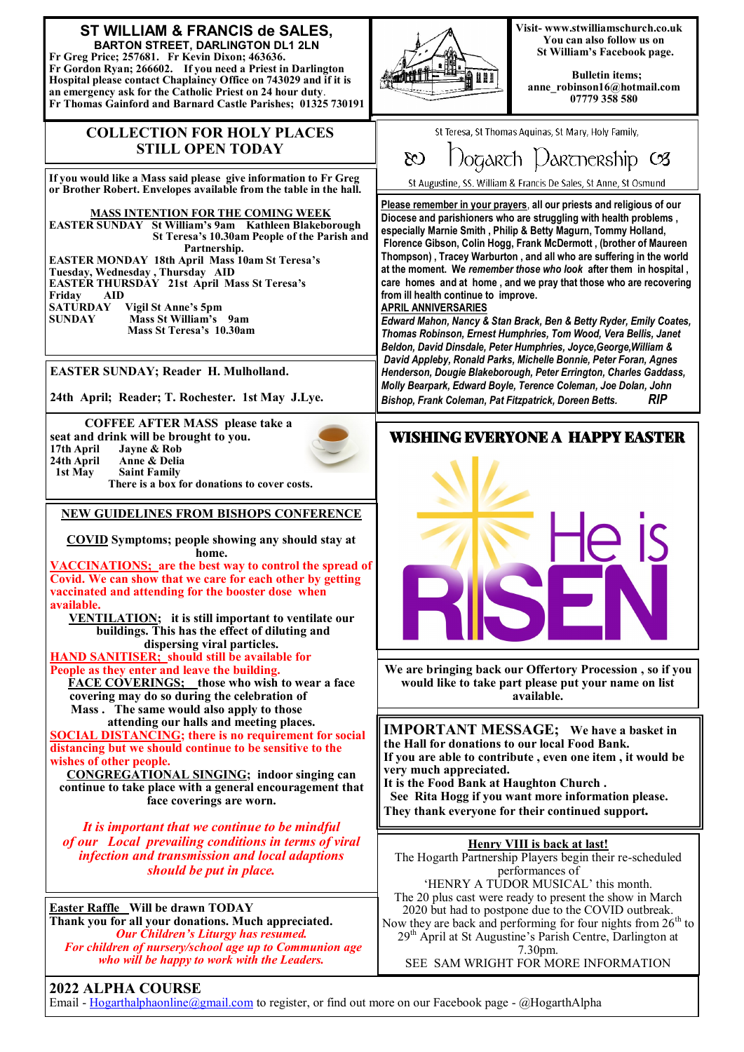

## **2022 ALPHA COURSE**

Email - [Hogarthalphaonline@gmail.com](mailto:Hogarthalphaonline@gmail.com) to register, or find out more on our Facebook page - @HogarthAlpha